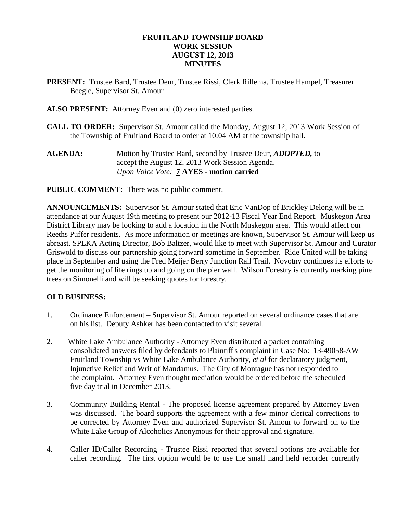## **FRUITLAND TOWNSHIP BOARD WORK SESSION AUGUST 12, 2013 MINUTES**

- **PRESENT:** Trustee Bard, Trustee Deur, Trustee Rissi, Clerk Rillema, Trustee Hampel, Treasurer Beegle, Supervisor St. Amour
- **ALSO PRESENT:** Attorney Even and (0) zero interested parties.
- **CALL TO ORDER:** Supervisor St. Amour called the Monday, August 12, 2013 Work Session of the Township of Fruitland Board to order at 10:04 AM at the township hall.
- **AGENDA:** Motion by Trustee Bard, second by Trustee Deur, *ADOPTED,* to accept the August 12, 2013 Work Session Agenda. *Upon Voice Vote:* **7 AYES - motion carried**

**PUBLIC COMMENT:** There was no public comment.

**ANNOUNCEMENTS:** Supervisor St. Amour stated that Eric VanDop of Brickley Delong will be in attendance at our August 19th meeting to present our 2012-13 Fiscal Year End Report. Muskegon Area District Library may be looking to add a location in the North Muskegon area. This would affect our Reeths Puffer residents. As more information or meetings are known, Supervisor St. Amour will keep us abreast. SPLKA Acting Director, Bob Baltzer, would like to meet with Supervisor St. Amour and Curator Griswold to discuss our partnership going forward sometime in September. Ride United will be taking place in September and using the Fred Meijer Berry Junction Rail Trail. Novotny continues its efforts to get the monitoring of life rings up and going on the pier wall. Wilson Forestry is currently marking pine trees on Simonelli and will be seeking quotes for forestry.

#### **OLD BUSINESS:**

- 1. Ordinance Enforcement Supervisor St. Amour reported on several ordinance cases that are on his list. Deputy Ashker has been contacted to visit several.
- 2. White Lake Ambulance Authority Attorney Even distributed a packet containing consolidated answers filed by defendants to Plaintiff's complaint in Case No: 13-49058-AW Fruitland Township vs White Lake Ambulance Authority, *et al* for declaratory judgment, Injunctive Relief and Writ of Mandamus. The City of Montague has not responded to the complaint. Attorney Even thought mediation would be ordered before the scheduled five day trial in December 2013.
- 3. Community Building Rental The proposed license agreement prepared by Attorney Even was discussed. The board supports the agreement with a few minor clerical corrections to be corrected by Attorney Even and authorized Supervisor St. Amour to forward on to the White Lake Group of Alcoholics Anonymous for their approval and signature.
- 4. Caller ID/Caller Recording Trustee Rissi reported that several options are available for caller recording. The first option would be to use the small hand held recorder currently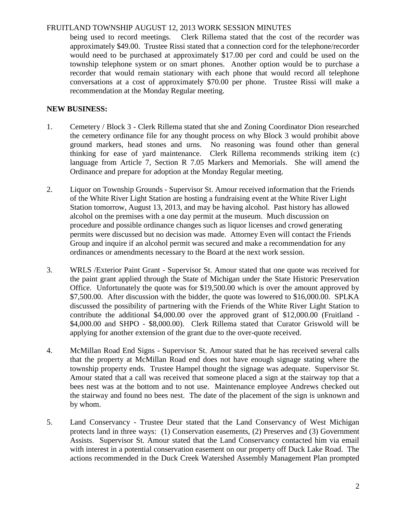### FRUITLAND TOWNSHIP AUGUST 12, 2013 WORK SESSION MINUTES

being used to record meetings. Clerk Rillema stated that the cost of the recorder was approximately \$49.00. Trustee Rissi stated that a connection cord for the telephone/recorder would need to be purchased at approximately \$17.00 per cord and could be used on the township telephone system or on smart phones. Another option would be to purchase a recorder that would remain stationary with each phone that would record all telephone conversations at a cost of approximately \$70.00 per phone. Trustee Rissi will make a recommendation at the Monday Regular meeting.

## **NEW BUSINESS:**

- 1. Cemetery / Block 3 Clerk Rillema stated that she and Zoning Coordinator Dion researched the cemetery ordinance file for any thought process on why Block 3 would prohibit above ground markers, head stones and urns. No reasoning was found other than general thinking for ease of yard maintenance. Clerk Rillema recommends striking item (c) language from Article 7, Section R 7.05 Markers and Memorials. She will amend the Ordinance and prepare for adoption at the Monday Regular meeting.
- 2. Liquor on Township Grounds Supervisor St. Amour received information that the Friends of the White River Light Station are hosting a fundraising event at the White River Light Station tomorrow, August 13, 2013, and may be having alcohol. Past history has allowed alcohol on the premises with a one day permit at the museum. Much discussion on procedure and possible ordinance changes such as liquor licenses and crowd generating permits were discussed but no decision was made. Attorney Even will contact the Friends Group and inquire if an alcohol permit was secured and make a recommendation for any ordinances or amendments necessary to the Board at the next work session.
- 3. WRLS /Exterior Paint Grant Supervisor St. Amour stated that one quote was received for the paint grant applied through the State of Michigan under the State Historic Preservation Office. Unfortunately the quote was for \$19,500.00 which is over the amount approved by \$7,500.00. After discussion with the bidder, the quote was lowered to \$16,000.00. SPLKA discussed the possibility of partnering with the Friends of the White River Light Station to contribute the additional \$4,000.00 over the approved grant of \$12,000.00 (Fruitland - \$4,000.00 and SHPO - \$8,000.00). Clerk Rillema stated that Curator Griswold will be applying for another extension of the grant due to the over-quote received.
- 4. McMillan Road End Signs Supervisor St. Amour stated that he has received several calls that the property at McMillan Road end does not have enough signage stating where the township property ends. Trustee Hampel thought the signage was adequate. Supervisor St. Amour stated that a call was received that someone placed a sign at the stairway top that a bees nest was at the bottom and to not use. Maintenance employee Andrews checked out the stairway and found no bees nest. The date of the placement of the sign is unknown and by whom.
- 5. Land Conservancy Trustee Deur stated that the Land Conservancy of West Michigan protects land in three ways: (1) Conservation easements, (2) Preserves and (3) Government Assists. Supervisor St. Amour stated that the Land Conservancy contacted him via email with interest in a potential conservation easement on our property off Duck Lake Road. The actions recommended in the Duck Creek Watershed Assembly Management Plan prompted